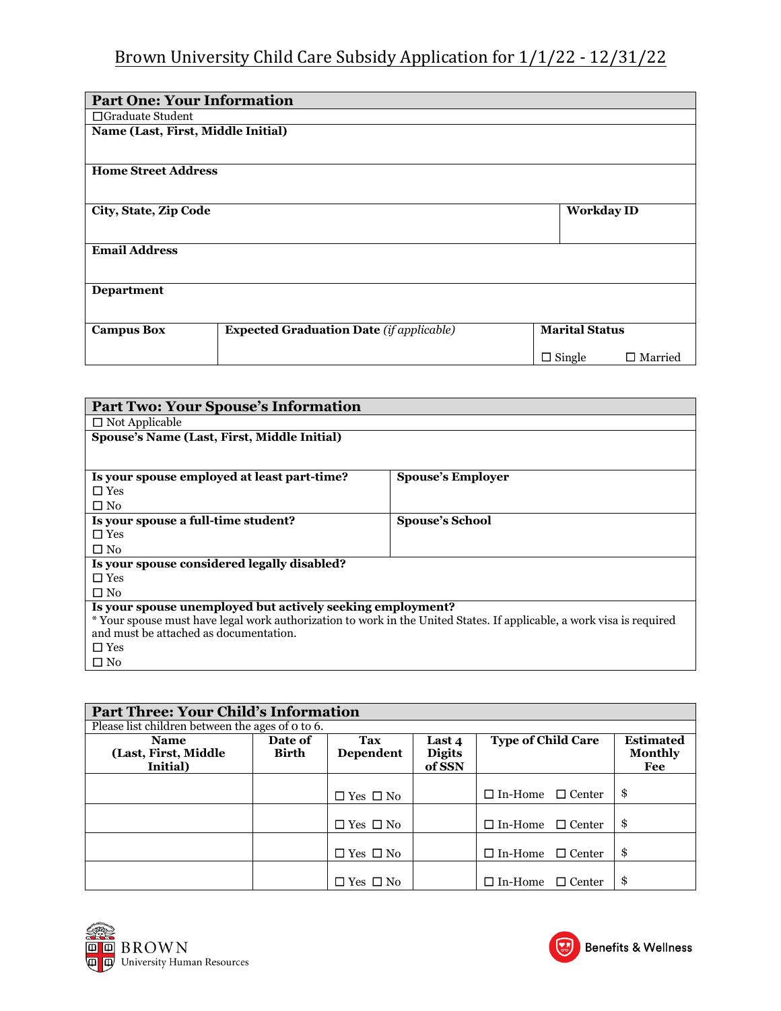## Brown University Child Care Subsidy Application for 1/1/22 - 12/31/22

| <b>Part One: Your Information</b>  |                                                 |                       |                   |
|------------------------------------|-------------------------------------------------|-----------------------|-------------------|
| $\Box$ Graduate Student            |                                                 |                       |                   |
| Name (Last, First, Middle Initial) |                                                 |                       |                   |
| <b>Home Street Address</b>         |                                                 |                       |                   |
| City, State, Zip Code              |                                                 | <b>Workday ID</b>     |                   |
| <b>Email Address</b>               |                                                 |                       |                   |
| <b>Department</b>                  |                                                 |                       |                   |
| <b>Campus Box</b>                  | <b>Expected Graduation Date (if applicable)</b> | <b>Marital Status</b> |                   |
|                                    |                                                 | $\Box$ Single         | $\square$ Married |

| <b>Part Two: Your Spouse's Information</b>                                                                            |                          |  |  |  |
|-----------------------------------------------------------------------------------------------------------------------|--------------------------|--|--|--|
| $\Box$ Not Applicable                                                                                                 |                          |  |  |  |
| Spouse's Name (Last, First, Middle Initial)                                                                           |                          |  |  |  |
|                                                                                                                       |                          |  |  |  |
|                                                                                                                       |                          |  |  |  |
| Is your spouse employed at least part-time?                                                                           | <b>Spouse's Employer</b> |  |  |  |
| $\Box$ Yes                                                                                                            |                          |  |  |  |
| $\square$ No                                                                                                          |                          |  |  |  |
| Is your spouse a full-time student?                                                                                   | <b>Spouse's School</b>   |  |  |  |
| $\Box$ Yes                                                                                                            |                          |  |  |  |
| $\square$ No                                                                                                          |                          |  |  |  |
| Is your spouse considered legally disabled?                                                                           |                          |  |  |  |
| $\Box$ Yes                                                                                                            |                          |  |  |  |
| $\Box$ No                                                                                                             |                          |  |  |  |
| Is your spouse unemployed but actively seeking employment?                                                            |                          |  |  |  |
| * Your spouse must have legal work authorization to work in the United States. If applicable, a work visa is required |                          |  |  |  |
| and must be attached as documentation.                                                                                |                          |  |  |  |
| $\Box$ Yes                                                                                                            |                          |  |  |  |
| $\square$ No                                                                                                          |                          |  |  |  |

| <b>Part Three: Your Child's Information</b>      |                  |                      |                                   |                                                                        |    |  |
|--------------------------------------------------|------------------|----------------------|-----------------------------------|------------------------------------------------------------------------|----|--|
| Please list children between the ages of o to 6. |                  |                      |                                   |                                                                        |    |  |
| <b>Name</b><br>(Last, First, Middle<br>Initial)  | Date of<br>Birth | Tax<br>Dependent     | Last 4<br><b>Digits</b><br>of SSN | <b>Type of Child Care</b><br><b>Estimated</b><br><b>Monthly</b><br>Fee |    |  |
|                                                  |                  | $\Box$ Yes $\Box$ No |                                   | $\Box$ In-Home $\Box$ Center                                           | \$ |  |
|                                                  |                  | $\Box$ Yes $\Box$ No |                                   | $\Box$ In-Home<br>$\Box$ Center                                        | \$ |  |
|                                                  |                  | $\Box$ Yes $\Box$ No |                                   | $\square$ In-Home<br>$\Box$ Center                                     | \$ |  |
|                                                  |                  | $\Box$ Yes $\Box$ No |                                   | $\square$ In-Home<br>$\Box$ Center                                     | \$ |  |